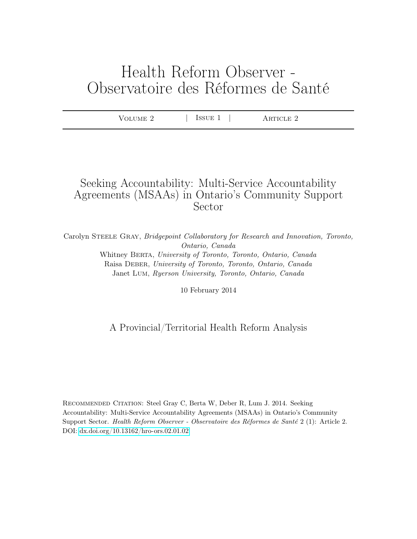# Health Reform Observer - Observatoire des Réformes de Santé

| ALIME 7 | 'SUE-<br><b>IDD</b> | RTICLE 2 |  |
|---------|---------------------|----------|--|
|         |                     |          |  |

# Seeking Accountability: Multi-Service Accountability Agreements (MSAAs) in Ontario's Community Support Sector

Carolyn Steele Gray, Bridgepoint Collaboratory for Research and Innovation, Toronto, Ontario, Canada Whitney BERTA, University of Toronto, Toronto, Ontario, Canada Raisa Deber, University of Toronto, Toronto, Ontario, Canada Janet Lum, Ryerson University, Toronto, Ontario, Canada

10 February 2014

# A Provincial/Territorial Health Reform Analysis

Recommended Citation: Steel Gray C, Berta W, Deber R, Lum J. 2014. Seeking Accountability: Multi-Service Accountability Agreements (MSAAs) in Ontario's Community Support Sector. Health Reform Observer - Observatoire des Réformes de Santé 2 (1): Article 2. DOI:<dx.doi.org/10.13162/hro-ors.02.01.02>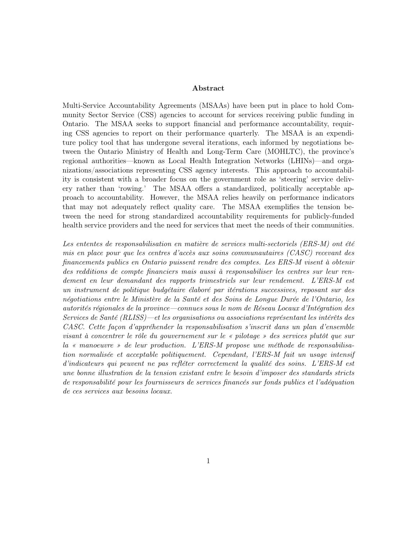#### Abstract

Multi-Service Accountability Agreements (MSAAs) have been put in place to hold Community Sector Service (CSS) agencies to account for services receiving public funding in Ontario. The MSAA seeks to support financial and performance accountability, requiring CSS agencies to report on their performance quarterly. The MSAA is an expenditure policy tool that has undergone several iterations, each informed by negotiations between the Ontario Ministry of Health and Long-Term Care (MOHLTC), the province's regional authorities—known as Local Health Integration Networks (LHINs)—and organizations/associations representing CSS agency interests. This approach to accountability is consistent with a broader focus on the government role as 'steering' service delivery rather than 'rowing.' The MSAA offers a standardized, politically acceptable approach to accountability. However, the MSAA relies heavily on performance indicators that may not adequately reflect quality care. The MSAA exemplifies the tension between the need for strong standardized accountability requirements for publicly-funded health service providers and the need for services that meet the needs of their communities.

Les ententes de responsabilisation en matière de services multi-sectoriels (ERS-M) ont été mis en place pour que les centres d'accès aux soins communautaires (CASC) recevant des financements publics en Ontario puissent rendre des comptes. Les ERS-M visent à obtenir des redditions de compte financiers mais aussi à responsabiliser les centres sur leur rendement en leur demandant des rapports trimestriels sur leur rendement. L'ERS-M est un instrument de politique budgétaire élaboré par itérations successives, reposant sur des négotiations entre le Ministère de la Santé et des Soins de Longue Durée de l'Ontario, les autorités régionales de la province—connues sous le nom de Réseau Locaux d'Intégration des Services de Santé (RLISS)—et les organisations ou associations représentant les intérêts des CASC. Cette façon d'appréhender la responsabilisation s'inscrit dans un plan d'ensemble visant à concentrer le rôle du gouvernement sur le « pilotage » des services plutôt que sur la « manoeuvre » de leur production. L'ERS-M propose une méthode de responsabilisation normalisée et acceptable politiquement. Cependant, l'ERS-M fait un usage intensif d'indicateurs qui peuvent ne pas refléter correctement la qualité des soins. L'ERS-M est une bonne illustration de la tension existant entre le besoin d'imposer des standards stricts de responsabilité pour les fournisseurs de services financés sur fonds publics et l'adéquation de ces services aux besoins locaux.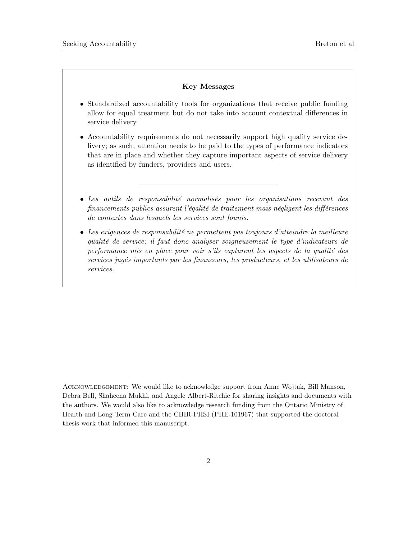#### Key Messages

- Standardized accountability tools for organizations that receive public funding allow for equal treatment but do not take into account contextual differences in service delivery.
- Accountability requirements do not necessarily support high quality service delivery; as such, attention needs to be paid to the types of performance indicators that are in place and whether they capture important aspects of service delivery as identified by funders, providers and users.
- Les outils de responsabilité normalisés pour les organisations recevant des financements publics assurent l'égalité de traitement mais négligent les différences de contextes dans lesquels les services sont founis.
- Les exigences de responsabilité ne permettent pas toujours d'atteindre la meilleure qualité de service; il faut donc analyser soigneusement le type d'indicateurs de performance mis en place pour voir s'ils capturent les aspects de la qualité des services jugés importants par les financeurs, les producteurs, et les utilisateurs de services.

ACKNOWLEDGEMENT: We would like to acknowledge support from Anne Wojtak, Bill Manson, Debra Bell, Shaheena Mukhi, and Angele Albert-Ritchie for sharing insights and documents with the authors. We would also like to acknowledge research funding from the Ontario Ministry of Health and Long-Term Care and the CIHR-PHSI (PHE-101967) that supported the doctoral thesis work that informed this manuscript.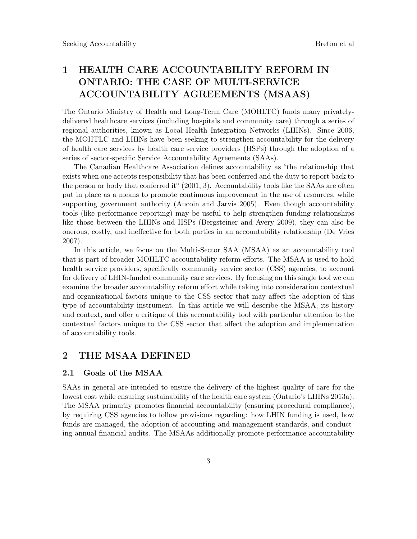# 1 HEALTH CARE ACCOUNTABILITY REFORM IN ONTARIO: THE CASE OF MULTI-SERVICE ACCOUNTABILITY AGREEMENTS (MSAAS)

The Ontario Ministry of Health and Long-Term Care (MOHLTC) funds many privatelydelivered healthcare services (including hospitals and community care) through a series of regional authorities, known as Local Health Integration Networks (LHINs). Since 2006, the MOHTLC and LHINs have been seeking to strengthen accountability for the delivery of health care services by health care service providers (HSPs) through the adoption of a series of sector-specific Service Accountability Agreements (SAAs).

The Canadian Healthcare Association defines accountability as "the relationship that exists when one accepts responsibility that has been conferred and the duty to report back to the person or body that conferred it" (2001, 3). Accountability tools like the SAAs are often put in place as a means to promote continuous improvement in the use of resources, while supporting government authority (Aucoin and Jarvis 2005). Even though accountability tools (like performance reporting) may be useful to help strengthen funding relationships like those between the LHINs and HSPs (Bergsteiner and Avery 2009), they can also be onerous, costly, and ineffective for both parties in an accountability relationship (De Vries 2007).

In this article, we focus on the Multi-Sector SAA (MSAA) as an accountability tool that is part of broader MOHLTC accountability reform efforts. The MSAA is used to hold health service providers, specifically community service sector (CSS) agencies, to account for delivery of LHIN-funded community care services. By focusing on this single tool we can examine the broader accountability reform effort while taking into consideration contextual and organizational factors unique to the CSS sector that may affect the adoption of this type of accountability instrument. In this article we will describe the MSAA, its history and context, and offer a critique of this accountability tool with particular attention to the contextual factors unique to the CSS sector that affect the adoption and implementation of accountability tools.

### 2 THE MSAA DEFINED

### 2.1 Goals of the MSAA

SAAs in general are intended to ensure the delivery of the highest quality of care for the lowest cost while ensuring sustainability of the health care system (Ontario's LHINs 2013a). The MSAA primarily promotes financial accountability (ensuring procedural compliance), by requiring CSS agencies to follow provisions regarding: how LHIN funding is used, how funds are managed, the adoption of accounting and management standards, and conducting annual financial audits. The MSAAs additionally promote performance accountability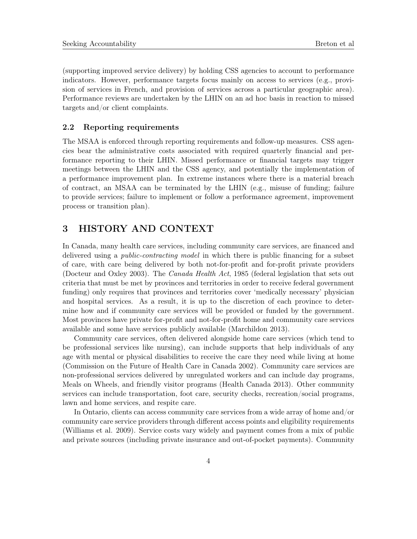(supporting improved service delivery) by holding CSS agencies to account to performance indicators. However, performance targets focus mainly on access to services (e.g., provision of services in French, and provision of services across a particular geographic area). Performance reviews are undertaken by the LHIN on an ad hoc basis in reaction to missed targets and/or client complaints.

### 2.2 Reporting requirements

The MSAA is enforced through reporting requirements and follow-up measures. CSS agencies bear the administrative costs associated with required quarterly financial and performance reporting to their LHIN. Missed performance or financial targets may trigger meetings between the LHIN and the CSS agency, and potentially the implementation of a performance improvement plan. In extreme instances where there is a material breach of contract, an MSAA can be terminated by the LHIN (e.g., misuse of funding; failure to provide services; failure to implement or follow a performance agreement, improvement process or transition plan).

### 3 HISTORY AND CONTEXT

In Canada, many health care services, including community care services, are financed and delivered using a *public-contracting model* in which there is public financing for a subset of care, with care being delivered by both not-for-profit and for-profit private providers (Docteur and Oxley 2003). The Canada Health Act, 1985 (federal legislation that sets out criteria that must be met by provinces and territories in order to receive federal government funding) only requires that provinces and territories cover 'medically necessary' physician and hospital services. As a result, it is up to the discretion of each province to determine how and if community care services will be provided or funded by the government. Most provinces have private for-profit and not-for-profit home and community care services available and some have services publicly available (Marchildon 2013).

Community care services, often delivered alongside home care services (which tend to be professional services like nursing), can include supports that help individuals of any age with mental or physical disabilities to receive the care they need while living at home (Commission on the Future of Health Care in Canada 2002). Community care services are non-professional services delivered by unregulated workers and can include day programs, Meals on Wheels, and friendly visitor programs (Health Canada 2013). Other community services can include transportation, foot care, security checks, recreation/social programs, lawn and home services, and respite care.

In Ontario, clients can access community care services from a wide array of home and/or community care service providers through different access points and eligibility requirements (Williams et al. 2009). Service costs vary widely and payment comes from a mix of public and private sources (including private insurance and out-of-pocket payments). Community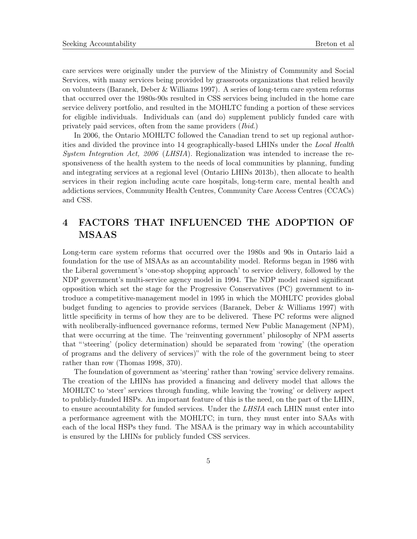care services were originally under the purview of the Ministry of Community and Social Services, with many services being provided by grassroots organizations that relied heavily on volunteers (Baranek, Deber & Williams 1997). A series of long-term care system reforms that occurred over the 1980s-90s resulted in CSS services being included in the home care service delivery portfolio, and resulted in the MOHLTC funding a portion of these services for eligible individuals. Individuals can (and do) supplement publicly funded care with privately paid services, often from the same providers (Ibid.)

In 2006, the Ontario MOHLTC followed the Canadian trend to set up regional authorities and divided the province into 14 geographically-based LHINs under the Local Health System Integration Act, 2006 (LHSIA). Regionalization was intended to increase the responsiveness of the health system to the needs of local communities by planning, funding and integrating services at a regional level (Ontario LHINs 2013b), then allocate to health services in their region including acute care hospitals, long-term care, mental health and addictions services, Community Health Centres, Community Care Access Centres (CCACs) and CSS.

# 4 FACTORS THAT INFLUENCED THE ADOPTION OF MSAAS

Long-term care system reforms that occurred over the 1980s and 90s in Ontario laid a foundation for the use of MSAAs as an accountability model. Reforms began in 1986 with the Liberal government's 'one-stop shopping approach' to service delivery, followed by the NDP government's multi-service agency model in 1994. The NDP model raised significant opposition which set the stage for the Progressive Conservatives (PC) government to introduce a competitive-management model in 1995 in which the MOHLTC provides global budget funding to agencies to provide services (Baranek, Deber & Williams 1997) with little specificity in terms of how they are to be delivered. These PC reforms were aligned with neoliberally-influenced governance reforms, termed New Public Management (NPM), that were occurring at the time. The 'reinventing government' philosophy of NPM asserts that "'steering' (policy determination) should be separated from 'rowing' (the operation of programs and the delivery of services)" with the role of the government being to steer rather than row (Thomas 1998, 370).

The foundation of government as 'steering' rather than 'rowing' service delivery remains. The creation of the LHINs has provided a financing and delivery model that allows the MOHLTC to 'steer' services through funding, while leaving the 'rowing' or delivery aspect to publicly-funded HSPs. An important feature of this is the need, on the part of the LHIN, to ensure accountability for funded services. Under the LHSIA each LHIN must enter into a performance agreement with the MOHLTC; in turn, they must enter into SAAs with each of the local HSPs they fund. The MSAA is the primary way in which accountability is ensured by the LHINs for publicly funded CSS services.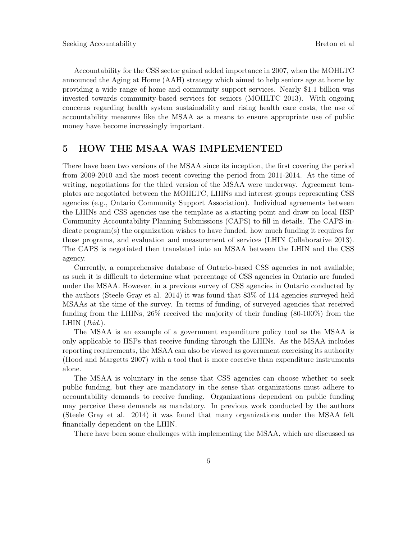Accountability for the CSS sector gained added importance in 2007, when the MOHLTC announced the Aging at Home (AAH) strategy which aimed to help seniors age at home by providing a wide range of home and community support services. Nearly \$1.1 billion was invested towards community-based services for seniors (MOHLTC 2013). With ongoing concerns regarding health system sustainability and rising health care costs, the use of accountability measures like the MSAA as a means to ensure appropriate use of public money have become increasingly important.

### 5 HOW THE MSAA WAS IMPLEMENTED

There have been two versions of the MSAA since its inception, the first covering the period from 2009-2010 and the most recent covering the period from 2011-2014. At the time of writing, negotiations for the third version of the MSAA were underway. Agreement templates are negotiated between the MOHLTC, LHINs and interest groups representing CSS agencies (e.g., Ontario Community Support Association). Individual agreements between the LHINs and CSS agencies use the template as a starting point and draw on local HSP Community Accountability Planning Submissions (CAPS) to fill in details. The CAPS indicate program(s) the organization wishes to have funded, how much funding it requires for those programs, and evaluation and measurement of services (LHIN Collaborative 2013). The CAPS is negotiated then translated into an MSAA between the LHIN and the CSS agency.

Currently, a comprehensive database of Ontario-based CSS agencies in not available; as such it is difficult to determine what percentage of CSS agencies in Ontario are funded under the MSAA. However, in a previous survey of CSS agencies in Ontario conducted by the authors (Steele Gray et al. 2014) it was found that 83% of 114 agencies surveyed held MSAAs at the time of the survey. In terms of funding, of surveyed agencies that received funding from the LHINs, 26% received the majority of their funding (80-100%) from the LHIN  $(Ibid.).$ 

The MSAA is an example of a government expenditure policy tool as the MSAA is only applicable to HSPs that receive funding through the LHINs. As the MSAA includes reporting requirements, the MSAA can also be viewed as government exercising its authority (Hood and Margetts 2007) with a tool that is more coercive than expenditure instruments alone.

The MSAA is voluntary in the sense that CSS agencies can choose whether to seek public funding, but they are mandatory in the sense that organizations must adhere to accountability demands to receive funding. Organizations dependent on public funding may perceive these demands as mandatory. In previous work conducted by the authors (Steele Gray et al. 2014) it was found that many organizations under the MSAA felt financially dependent on the LHIN.

There have been some challenges with implementing the MSAA, which are discussed as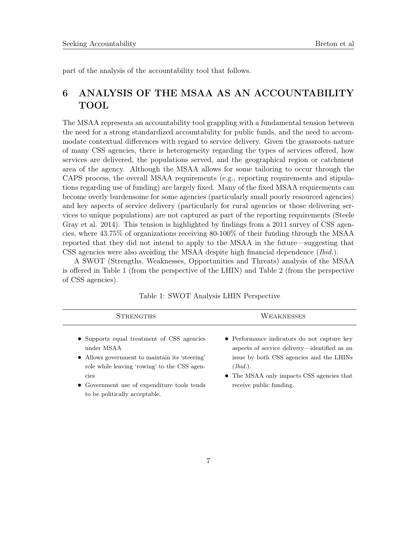part of the analysis of the accountability tool that follows.

## 6 ANALYSIS OF THE MSAA AS AN ACCOUNTABILITY TOOL

The MSAA represents an accountability tool grappling with a fundamental tension between the need for a strong standardized accountability for public funds, and the need to accommodate contextual differences with regard to service delivery. Given the grassroots nature of many CSS agencies, there is heterogeneity regarding the types of services offered, how services are delivered, the populations served, and the geographical region or catchment area of the agency. Although the MSAA allows for some tailoring to occur through the CAPS process, the overall MSAA requirements (e.g., reporting requirements and stipulations regarding use of funding) are largely fixed. Many of the fixed MSAA requirements can become overly burdensome for some agencies (particularly small poorly resourced agencies) and key aspects of service delivery (particularly for rural agencies or those delivering services to unique populations) are not captured as part of the reporting requirements (Steele Gray et al. 2014). This tension is highlighted by findings from a 2011 survey of CSS agencies, where 43.75% of organizations receiving 80-100% of their funding through the MSAA reported that they did not intend to apply to the MSAA in the future—suggesting that CSS agencies were also avoiding the MSAA despite high financial dependence (*Ibid.*).

A SWOT (Strengths, Weaknesses, Opportunities and Threats) analysis of the MSAA is offered in Table 1 (from the perspective of the LHIN) and Table 2 (from the perspective of CSS agencies).

| <b>STRENGTHS</b>                                                                                                                                                                                                                                   | WEAKNESSES                                                                                                                                                                                                                  |
|----------------------------------------------------------------------------------------------------------------------------------------------------------------------------------------------------------------------------------------------------|-----------------------------------------------------------------------------------------------------------------------------------------------------------------------------------------------------------------------------|
| • Supports equal treatment of CSS agencies<br>under MSAA<br>• Allows government to maintain its 'steering'<br>role while leaving 'rowing' to the CSS agen-<br>cies<br>• Government use of expenditure tools tends<br>to be politically acceptable. | • Performance indicators do not capture key<br>aspects of service delivery—identified as an<br>issue by both CSS agencies and the LHINS<br>(Ibid.).<br>• The MSAA only impacts CSS agencies that<br>receive public funding. |

|  |  |  |  |  | Table 1: SWOT Analysis LHIN Perspective |
|--|--|--|--|--|-----------------------------------------|
|--|--|--|--|--|-----------------------------------------|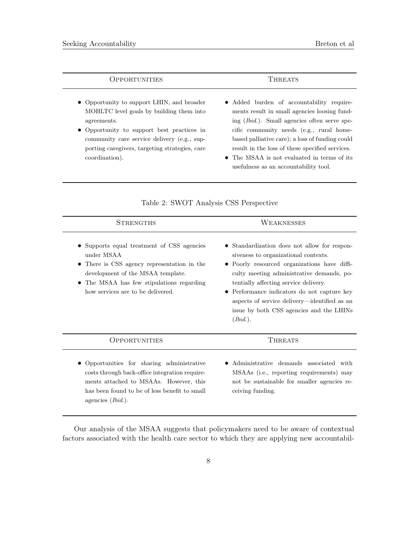| <b>OPPORTUNITIES</b> | 'HREATS |  |  |
|----------------------|---------|--|--|
|                      |         |  |  |

- Opportunity to support LHIN, and broader MOHLTC level goals by building them into agreements.
- Opportunity to support best practices in community care service delivery (e.g., supporting caregivers, targeting strategies, care coordination).
- Added burden of accountability requirements result in small agencies loosing funding (Ibid.). Small agencies often serve specific community needs (e.g., rural homebased palliative care); a loss of funding could result in the loss of these specified services.
- The MSAA is not evaluated in terms of its usefulness as an accountability tool.

| STRENGTHS                                                                                                                                                                                                                      | WEAKNESSES                                                                                                                                                                                                                                                                                                                                                                        |
|--------------------------------------------------------------------------------------------------------------------------------------------------------------------------------------------------------------------------------|-----------------------------------------------------------------------------------------------------------------------------------------------------------------------------------------------------------------------------------------------------------------------------------------------------------------------------------------------------------------------------------|
| • Supports equal treatment of CSS agencies<br>under MSAA<br>• There is CSS agency representation in the<br>development of the MSAA template.<br>• The MSAA has few stipulations regarding<br>how services are to be delivered. | • Standardization does not allow for respon-<br>siveness to organizational contexts.<br>• Poorly resourced organizations have diffi-<br>culty meeting administrative demands, po-<br>tentially affecting service delivery.<br>• Performance indicators do not capture key<br>aspects of service delivery—identified as an<br>issue by both CSS agencies and the LHINs<br>(Ibid.). |
| OPPORTUNITIES                                                                                                                                                                                                                  | <b>THREATS</b>                                                                                                                                                                                                                                                                                                                                                                    |
| Opportunities for sharing administrative<br>costs through back-office integration require-<br>ments attached to MSAAs. However, this<br>has been found to be of less benefit to small<br>agencies $(Ibid.)$ .                  | Administrative demands associated with<br>MSAAs (i.e., reporting requirements) may<br>not be sustainable for smaller agencies re-<br>ceiving funding.                                                                                                                                                                                                                             |

#### Table 2: SWOT Analysis CSS Perspective

Our analysis of the MSAA suggests that policymakers need to be aware of contextual factors associated with the health care sector to which they are applying new accountabil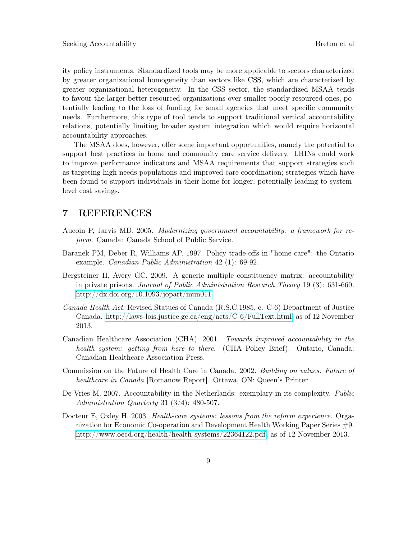ity policy instruments. Standardized tools may be more applicable to sectors characterized by greater organizational homogeneity than sectors like CSS, which are characterized by greater organizational heterogeneity. In the CSS sector, the standardized MSAA tends to favour the larger better-resourced organizations over smaller poorly-resourced ones, potentially leading to the loss of funding for small agencies that meet specific community needs. Furthermore, this type of tool tends to support traditional vertical accountability relations, potentially limiting broader system integration which would require horizontal accountability approaches.

The MSAA does, however, offer some important opportunities, namely the potential to support best practices in home and community care service delivery. LHINs could work to improve performance indicators and MSAA requirements that support strategies such as targeting high-needs populations and improved care coordination; strategies which have been found to support individuals in their home for longer, potentially leading to systemlevel cost savings.

### 7 REFERENCES

- Aucoin P, Jarvis MD. 2005. Modernizing government accountability: a framework for reform. Canada: Canada School of Public Service.
- Baranek PM, Deber R, Williams AP. 1997. Policy trade-offs in "home care": the Ontario example. Canadian Public Administration 42 (1): 69-92.
- Bergsteiner H, Avery GC. 2009. A generic multiple constituency matrix: accountability in private prisons. Journal of Public Administration Research Theory 19 (3): 631-660. <http://dx.doi.org/10.1093/jopart/mun011>
- Canada Health Act, Revised Statues of Canada (R.S.C.1985, c. C-6) Department of Justice Canada. [http://laws-lois.justice.gc.ca/eng/acts/C-6/FullText.html,](http://laws-lois.justice.gc.ca/eng/acts/C-6/FullText.html) as of 12 November 2013.
- Canadian Healthcare Association (CHA). 2001. Towards improved accountability in the health system: getting from here to there. (CHA Policy Brief). Ontario, Canada: Canadian Healthcare Association Press.
- Commission on the Future of Health Care in Canada. 2002. Building on values. Future of healthcare in Canada [Romanow Report]. Ottawa, ON: Queen's Printer.
- De Vries M. 2007. Accountability in the Netherlands: exemplary in its complexity. *Public* Administration Quarterly 31 (3/4): 480-507.
- Docteur E, Oxley H. 2003. *Health-care systems: lessons from the reform experience*. Organization for Economic Co-operation and Development Health Working Paper Series #9. [http://www.oecd.org/health/health-systems/22364122.pdf,](http://www.oecd.org/health/health-systems/22364122.pdf) as of 12 November 2013.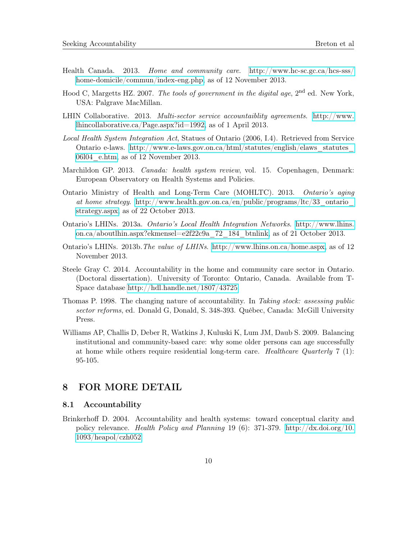- Health Canada. 2013. Home and community care. [http://www.hc-sc.gc.ca/hcs-sss/](http://www.hc-sc.gc.ca/hcs-sss/home-domicile/commun/index-eng.php) [home-domicile/commun/index-eng.php,](http://www.hc-sc.gc.ca/hcs-sss/home-domicile/commun/index-eng.php) as of 12 November 2013.
- Hood C, Margetts HZ. 2007. The tools of government in the digital age, 2<sup>nd</sup> ed. New York, USA: Palgrave MacMillan.
- LHIN Collaborative. 2013. Multi-sector service accountaiblity agreements. [http://www.](http://www.lhincollaborative.ca/Page.aspx?id=1992) [lhincollaborative.ca/Page.aspx?id=1992,](http://www.lhincollaborative.ca/Page.aspx?id=1992) as of 1 April 2013.
- Local Health System Integration Act, Statues of Ontario (2006, I.4). Retrieved from Service Ontario e-laws. [http://www.e-laws.gov.on.ca/html/statutes/english/elaws\\_statutes\\_](http://www.e-laws.gov.on.ca/html/statutes/english/elaws_statutes_06l04_e.htm) [06l04\\_e.htm,](http://www.e-laws.gov.on.ca/html/statutes/english/elaws_statutes_06l04_e.htm) as of 12 November 2013.
- Marchildon GP. 2013. Canada: health system review, vol. 15. Copenhagen, Denmark: European Observatory on Health Systems and Policies.
- Ontario Ministry of Health and Long-Term Care (MOHLTC). 2013. Ontario's aging at home strategy. [http://www.health.gov.on.ca/en/public/programs/ltc/33\\_ontario\\_](http://www.health.gov.on.ca/en/public/programs/ltc/33_ontario_strategy.aspx) [strategy.aspx,](http://www.health.gov.on.ca/en/public/programs/ltc/33_ontario_strategy.aspx) as of 22 October 2013.
- Ontario's LHINs. 2013a. Ontario's Local Health Integration Networks. [http://www.lhins.](http://www.lhins.on.ca/aboutlhin.aspx?ekmensel=e2f22c9a_72_184_btnlink) [on.ca/aboutlhin.aspx?ekmensel=e2f22c9a\\_72\\_184\\_btnlink,](http://www.lhins.on.ca/aboutlhin.aspx?ekmensel=e2f22c9a_72_184_btnlink) as of 21 October 2013.
- Ontario's LHINs. 2013b.The value of LHINs. [http://www.lhins.on.ca/home.aspx,](http://www.lhins.on.ca/home.aspx) as of 12 November 2013.
- Steele Gray C. 2014. Accountability in the home and community care sector in Ontario. (Doctoral dissertation). University of Toronto: Ontario, Canada. Available from T-Space database [http://hdl.handle.net/1807/43725.](http://hdl.handle.net/1807/43725)
- Thomas P. 1998. The changing nature of accountability. In Taking stock: assessing public sector reforms, ed. Donald G, Donald, S. 348-393. Québec, Canada: McGill University Press.
- Williams AP, Challis D, Deber R, Watkins J, Kuluski K, Lum JM, Daub S. 2009. Balancing institutional and community-based care: why some older persons can age successfully at home while others require residential long-term care. Healthcare Quarterly  $7 \text{ (1)}$ : 95-105.

### 8 FOR MORE DETAIL

### 8.1 Accountability

Brinkerhoff D. 2004. Accountability and health systems: toward conceptual clarity and policy relevance. Health Policy and Planning 19 (6): 371-379. [http://dx.doi.org/10.](http://dx.doi.org/10.1093/heapol/czh052) [1093/heapol/czh052](http://dx.doi.org/10.1093/heapol/czh052)